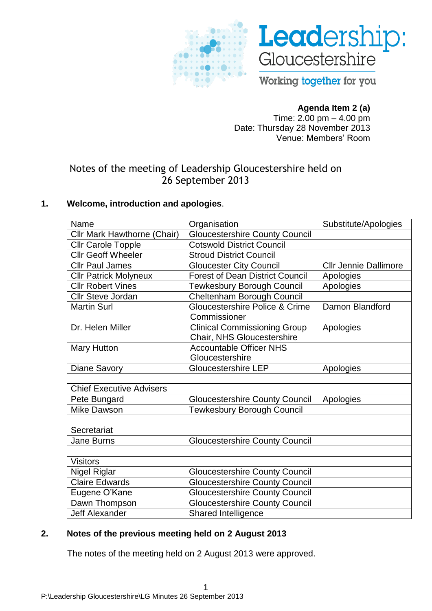



Working together for you

# **Agenda Item 2 (a)**

Time: 2.00 pm – 4.00 pm Date: Thursday 28 November 2013 Venue: Members" Room

# Notes of the meeting of Leadership Gloucestershire held on 26 September 2013

# **1. Welcome, introduction and apologies**.

| Name                               | Organisation                                                      | Substitute/Apologies         |
|------------------------------------|-------------------------------------------------------------------|------------------------------|
| <b>Cllr Mark Hawthorne (Chair)</b> | <b>Gloucestershire County Council</b>                             |                              |
| <b>Cllr Carole Topple</b>          | <b>Cotswold District Council</b>                                  |                              |
| <b>Cllr Geoff Wheeler</b>          | <b>Stroud District Council</b>                                    |                              |
| <b>Cllr Paul James</b>             | <b>Gloucester City Council</b>                                    | <b>Cllr Jennie Dallimore</b> |
| <b>Cllr Patrick Molyneux</b>       | <b>Forest of Dean District Council</b>                            | Apologies                    |
| <b>Cllr Robert Vines</b>           | <b>Tewkesbury Borough Council</b>                                 | Apologies                    |
| <b>Cllr Steve Jordan</b>           | Cheltenham Borough Council                                        |                              |
| <b>Martin Surl</b>                 | Gloucestershire Police & Crime<br>Commissioner                    | Damon Blandford              |
| Dr. Helen Miller                   | <b>Clinical Commissioning Group</b><br>Chair, NHS Gloucestershire | Apologies                    |
| <b>Mary Hutton</b>                 | <b>Accountable Officer NHS</b><br>Gloucestershire                 |                              |
| Diane Savory                       | <b>Gloucestershire LEP</b>                                        | Apologies                    |
|                                    |                                                                   |                              |
| <b>Chief Executive Advisers</b>    |                                                                   |                              |
| Pete Bungard                       | <b>Gloucestershire County Council</b>                             | Apologies                    |
| <b>Mike Dawson</b>                 | <b>Tewkesbury Borough Council</b>                                 |                              |
|                                    |                                                                   |                              |
| Secretariat                        |                                                                   |                              |
| Jane Burns                         | <b>Gloucestershire County Council</b>                             |                              |
|                                    |                                                                   |                              |
| <b>Visitors</b>                    |                                                                   |                              |
| Nigel Riglar                       | <b>Gloucestershire County Council</b>                             |                              |
| <b>Claire Edwards</b>              | <b>Gloucestershire County Council</b>                             |                              |
| Eugene O'Kane                      | <b>Gloucestershire County Council</b>                             |                              |
| Dawn Thompson                      | <b>Gloucestershire County Council</b>                             |                              |
| <b>Jeff Alexander</b>              | <b>Shared Intelligence</b>                                        |                              |

# **2. Notes of the previous meeting held on 2 August 2013**

The notes of the meeting held on 2 August 2013 were approved.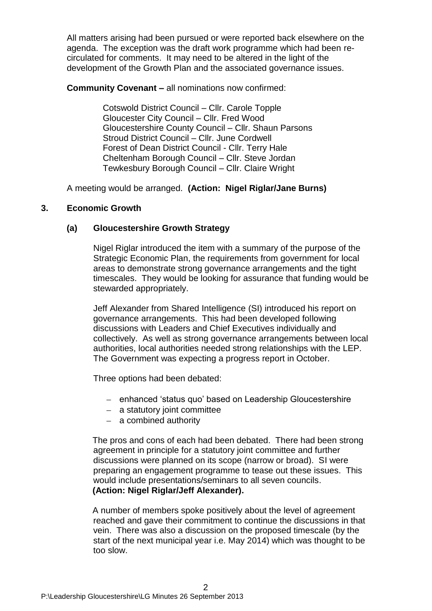All matters arising had been pursued or were reported back elsewhere on the agenda. The exception was the draft work programme which had been recirculated for comments. It may need to be altered in the light of the development of the Growth Plan and the associated governance issues.

**Community Covenant –** all nominations now confirmed:

Cotswold District Council – Cllr. Carole Topple Gloucester City Council – Cllr. Fred Wood Gloucestershire County Council – Cllr. Shaun Parsons Stroud District Council – Cllr. June Cordwell Forest of Dean District Council - Cllr. Terry Hale Cheltenham Borough Council – Cllr. Steve Jordan Tewkesbury Borough Council – Cllr. Claire Wright

A meeting would be arranged. **(Action: Nigel Riglar/Jane Burns)**

### **3. Economic Growth**

### **(a) Gloucestershire Growth Strategy**

Nigel Riglar introduced the item with a summary of the purpose of the Strategic Economic Plan, the requirements from government for local areas to demonstrate strong governance arrangements and the tight timescales. They would be looking for assurance that funding would be stewarded appropriately.

Jeff Alexander from Shared Intelligence (SI) introduced his report on governance arrangements. This had been developed following discussions with Leaders and Chief Executives individually and collectively. As well as strong governance arrangements between local authorities, local authorities needed strong relationships with the LEP. The Government was expecting a progress report in October.

Three options had been debated:

- enhanced 'status quo' based on Leadership Gloucestershire
- a statutory joint committee
- $-$  a combined authority

The pros and cons of each had been debated. There had been strong agreement in principle for a statutory joint committee and further discussions were planned on its scope (narrow or broad). SI were preparing an engagement programme to tease out these issues. This would include presentations/seminars to all seven councils. **(Action: Nigel Riglar/Jeff Alexander).**

A number of members spoke positively about the level of agreement reached and gave their commitment to continue the discussions in that vein. There was also a discussion on the proposed timescale (by the start of the next municipal year i.e. May 2014) which was thought to be too slow.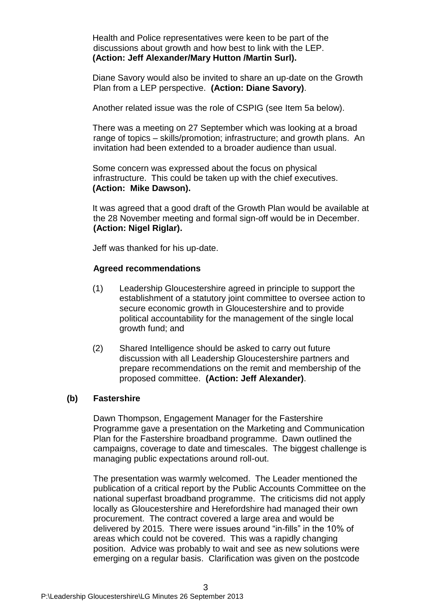Health and Police representatives were keen to be part of the discussions about growth and how best to link with the LEP. **(Action: Jeff Alexander/Mary Hutton /Martin Surl).**

Diane Savory would also be invited to share an up-date on the Growth Plan from a LEP perspective. **(Action: Diane Savory)**.

Another related issue was the role of CSPIG (see Item 5a below).

There was a meeting on 27 September which was looking at a broad range of topics – skills/promotion; infrastructure; and growth plans. An invitation had been extended to a broader audience than usual.

Some concern was expressed about the focus on physical infrastructure. This could be taken up with the chief executives. **(Action: Mike Dawson).**

It was agreed that a good draft of the Growth Plan would be available at the 28 November meeting and formal sign-off would be in December. **(Action: Nigel Riglar).**

Jeff was thanked for his up-date.

#### **Agreed recommendations**

- (1) Leadership Gloucestershire agreed in principle to support the establishment of a statutory joint committee to oversee action to secure economic growth in Gloucestershire and to provide political accountability for the management of the single local growth fund; and
- (2) Shared Intelligence should be asked to carry out future discussion with all Leadership Gloucestershire partners and prepare recommendations on the remit and membership of the proposed committee. **(Action: Jeff Alexander)**.

#### **(b) Fastershire**

Dawn Thompson, Engagement Manager for the Fastershire Programme gave a presentation on the Marketing and Communication Plan for the Fastershire broadband programme. Dawn outlined the campaigns, coverage to date and timescales. The biggest challenge is managing public expectations around roll-out.

The presentation was warmly welcomed. The Leader mentioned the publication of a critical report by the Public Accounts Committee on the national superfast broadband programme. The criticisms did not apply locally as Gloucestershire and Herefordshire had managed their own procurement. The contract covered a large area and would be delivered by 2015. There were issues around "in-fills" in the 10% of areas which could not be covered. This was a rapidly changing position. Advice was probably to wait and see as new solutions were emerging on a regular basis. Clarification was given on the postcode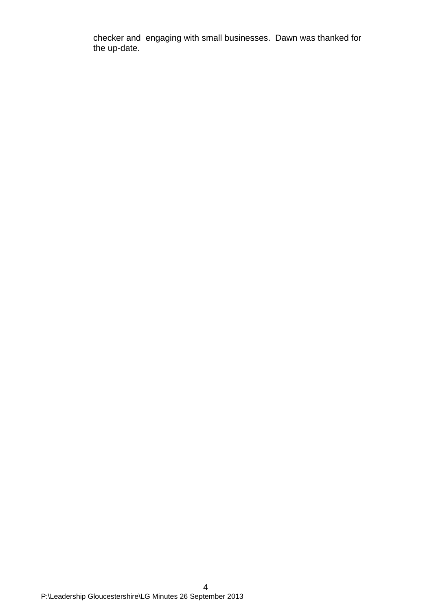checker and engaging with small businesses. Dawn was thanked for the up-date.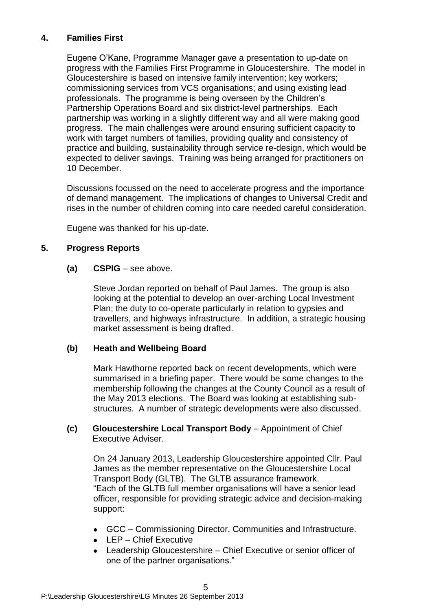# **4. Families First**

Eugene O"Kane, Programme Manager gave a presentation to up-date on progress with the Families First Programme in Gloucestershire. The model in Gloucestershire is based on intensive family intervention; key workers; commissioning services from VCS organisations; and using existing lead professionals. The programme is being overseen by the Children"s Partnership Operations Board and six district-level partnerships. Each partnership was working in a slightly different way and all were making good progress. The main challenges were around ensuring sufficient capacity to work with target numbers of families, providing quality and consistency of practice and building, sustainability through service re-design, which would be expected to deliver savings. Training was being arranged for practitioners on 10 December.

Discussions focussed on the need to accelerate progress and the importance of demand management. The implications of changes to Universal Credit and rises in the number of children coming into care needed careful consideration.

Eugene was thanked for his up-date.

# **5. Progress Reports**

#### **(a) CSPIG** – see above.

Steve Jordan reported on behalf of Paul James. The group is also looking at the potential to develop an over-arching Local Investment Plan; the duty to co-operate particularly in relation to gypsies and travellers, and highways infrastructure. In addition, a strategic housing market assessment is being drafted.

# **(b) Heath and Wellbeing Board**

Mark Hawthorne reported back on recent developments, which were summarised in a briefing paper. There would be some changes to the membership following the changes at the County Council as a result of the May 2013 elections. The Board was looking at establishing substructures. A number of strategic developments were also discussed.

#### **(c) Gloucestershire Local Transport Body** – Appointment of Chief Executive Adviser.

On 24 January 2013, Leadership Gloucestershire appointed Cllr. Paul James as the member representative on the Gloucestershire Local Transport Body (GLTB). The GLTB assurance framework. "Each of the GLTB full member organisations will have a senior lead officer, responsible for providing strategic advice and decision-making support:

- GCC Commissioning Director, Communities and Infrastructure.
- LEP Chief Executive
- Leadership Gloucestershire Chief Executive or senior officer of one of the partner organisations."